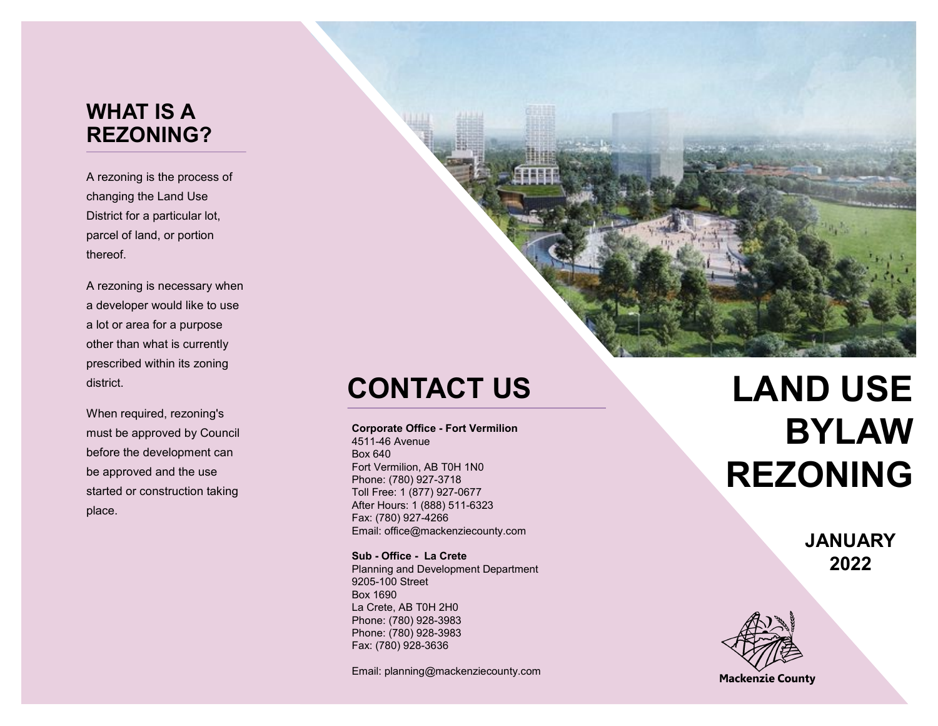### **WHAT IS A REZONING?**

A rezoning is the process of changing the Land Use District for a particular lot, parcel of land, or portion thereof.

A rezoning is necessary when a developer would like to use a lot or area for a purpose other than what is currently prescribed within its zoning district.

When required, rezoning's must be approved by Council before the development can be approved and the use started or construction taking place.



## **CONTACT US**

**Corporate Office - Fort Vermilion**

4511 -46 Avenue Box 640 Fort Vermilion, AB T0H 1N0 Phone: (780) 927 -3718 Toll Free: 1 (877) 927 -0677 After Hours: 1 (888) 511 -6323 Fax: (780) 927 -4266 Email: office@mackenziecounty.com

**Sub - Office - La Crete**  Planning and Development Department 9205 -100 Street Box 1690 La Crete, AB T0H 2H0 Phone: (780) 928 -3983 Phone: (780) 928 -3983 Fax: (780) 928 -3636

Email: planning@mackenziecounty.com

# **LAND USE BYLAW REZONING**

**JANUARY 2022** 



**Mackenzie County**